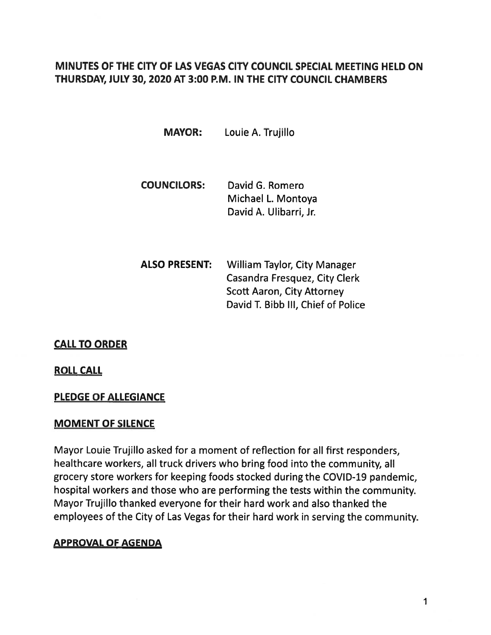# MINUTES OF THE CITY OF LAS VEGAS CITY COUNCIL SPECIAL MEETING HELD ON THURSDAY, JULY 30, 2020 AT 3:00 P.M. IN THE CITY COUNCIL CHAMBERS

MAYOR: Louie A. Trujillo

- COUNCILORS: David G. Romero Michael L. Montoya David A. Ulibarri, Jr.
- ALSO PRESENT: William Taylor, City Manager Casandra Fresquez, City Clerk Scott Aaron, City Attorney David T. Bibb Ill, Chief of Police

CALL TO ORDER

ROLL CALL

### PLEDGE OF ALLEGIANCE

### MOMENT OF SILENCE

Mayor Louie Trujillo asked for <sup>a</sup> moment of reflection for all first responders, healthcare workers, all truck drivers who bring food into the community, all grocery store workers for keeping foods stocked during the COVID-19 pandemic, hospital workers and those who are performing the tests within the community. Mayor Trujillo thanked everyone for their hard work and also thanked the employees of the City of Las Vegas for their hard work in serving the community.

## APPROVAL OF AGENDA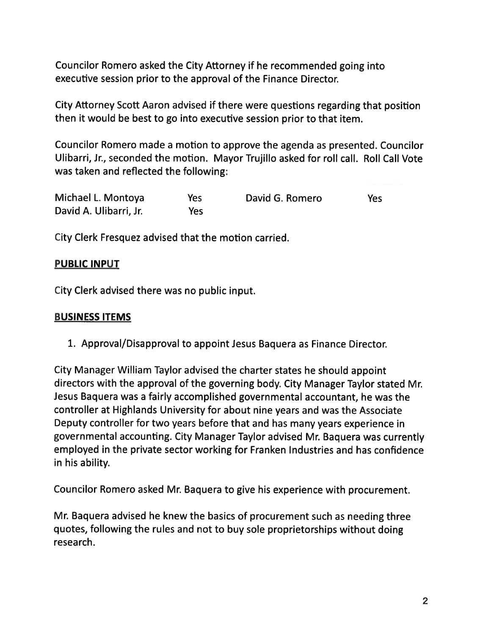Councilor Romero asked the City Attorney if he recommended going into executive session prior to the approval of the Finance Director.

City Attorney Scott Aaron advised if there were questions regarding that position then it would be best to go into executive session prior to that item.

Councilor Romero made <sup>a</sup> motion to approve the agenda as presented. Councilor Ulibarri, Jr., seconded the motion. Mayor Trujillo asked for roll call. Roll Call Vote was taken and reflected the following:

| Michael L. Montoya     | Yes | David G. Romero | Yes |
|------------------------|-----|-----------------|-----|
| David A. Ulibarri, Jr. | Yes |                 |     |

City Clerk Fresquez advised that the motion carried.

# PUBLIC INPUT

City Clerk advised there was no public input.

## BUSINESS ITEMS

1. Approval/Disapproval to appoint Jesus Baquera as Finance Director.

City Manager William Taylor advised the charter states he should appoint directors with the approva<sup>l</sup> of the governing body. City Manager Taylor stated Mr. Jesus Baquera was <sup>a</sup> fairly accomplished governmental accountant, he was the controller at Highlands University for about nine years and was the Associate Deputy controller for two years before that and has many years experience in governmental accounting. City Manager Taylor advised Mr. Baquera was currently employed in the private sector working for Franken Industries and has confidence in his ability.

Councilor Romero asked Mr. Baquera to <sup>g</sup>ive his experience with procurement.

Mr. Baquera advised he knew the basics of procuremen<sup>t</sup> such as needing three quotes, following the rules and not to buy sole proprietorships without doing research.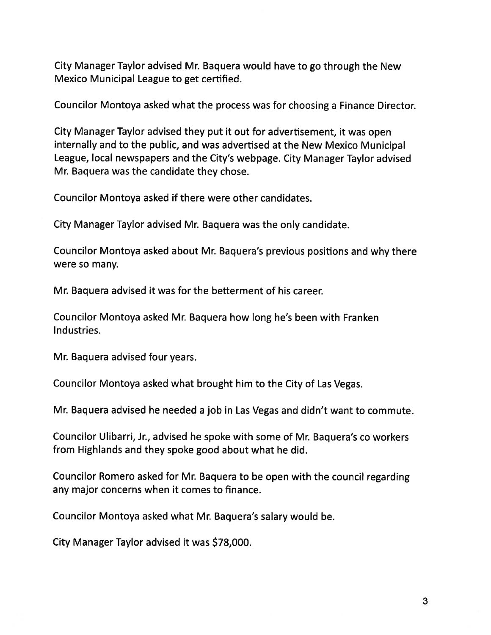City Manager Taylor advised Mr. Baquera would have to go through the New Mexico Municipal League to ge<sup>t</sup> certified.

Councilor Montoya asked what the process was for choosing <sup>a</sup> Finance Director.

City Manager Taylor advised they pu<sup>t</sup> it out for advertisement, it was open internally and to the public, and was advertised at the New Mexico Municipal League, local newspapers and the City's webpage. City Manager Taylor advised Mr. Baquera was the candidate they chose.

Councilor Montoya asked if there were other candidates.

City Manager Taylor advised Mr. Baquera was the only candidate.

Councilor Montoya asked about Mr. Baquera's previous positions and why there were so many.

Mr. Baquera advised it was for the betterment of his career.

Councilor Montoya asked Mr. Baquera how long he's been with Franken Industries.

Mr. Baquera advised four years.

Councilor Montoya asked what brought him to the City of Las Vegas.

Mr. Baquera advised he needed <sup>a</sup> job in Las Vegas and didn't want to commute.

Councilor Ulibarri, Jr., advised he spoke with some of Mr. Baquera's co workers from Highlands and they spoke good about what he did.

Councilor Romero asked for Mr. Baquera to be open with the council regarding any major concerns when it comes to finance.

Councilor Montoya asked what Mr. Baquera's salary would be.

City Manager Taylor advised it was \$78,000.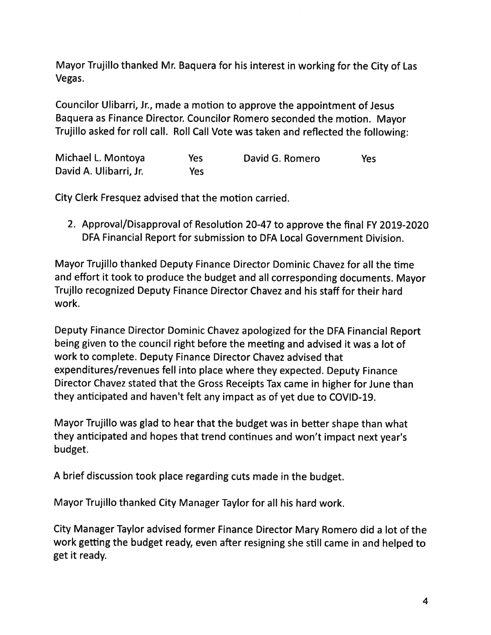Mayor Trujillo thanked Mr. Baquera for his interest in working for the City of Las Vegas.

Councilor Ulibarri, Jr., made <sup>a</sup> motion to approve the appointment of Jesus Baquera as Finance Director. Councilor Romero seconded the motion. Mayor Trujillo asked for roll call. Roll Call Vote was taken and reflected the following:

| Michael L. Montoya     | Yes | David G. Romero | Yes |
|------------------------|-----|-----------------|-----|
| David A. Ulibarri, Jr. | Yes |                 |     |

City Clerk Fresquez advised that the motion carried.

2. Approval/Disapproval of Resolution 20-47 to approve the final FY 2019-2020 DFA Financial Report for submission to DFA Local Government Division.

Mayor Trujillo thanked Deputy Finance Director Dominic Chavez for all the time and effort it took to produce the budget and all corresponding documents. Mayor Trujilo recognized Deputy Finance Director Chavez and his staff for their hard work.

Deputy Finance Director Dominic Chavez apologized for the DFA Financial Report being given to the council right before the meeting and advised it was <sup>a</sup> lot of work to complete. Deputy Finance Director Chavez advised that expenditures/revenues fell into <sup>p</sup>lace where they expected. Deputy Finance Director Chavez stated that the Gross Receipts Tax came in higher for June than they anticipated and haven't felt any impact as of ye<sup>t</sup> due to COVID-19.

Mayor Trujillo was <sup>g</sup>lad to hear that the budget was in better shape than what they anticipated and hopes that trend continues and won't impact next year's budget.

<sup>A</sup> brief discussion took <sup>p</sup>lace regarding cuts made in the budget.

Mayor Trujillo thanked City Manager Taylor for all his hard work.

City Manager Taylor advised former Finance Director Mary Romero did <sup>a</sup> lot of the work getting the budget ready, even after resigning she still came in and helped to ge<sup>t</sup> it ready.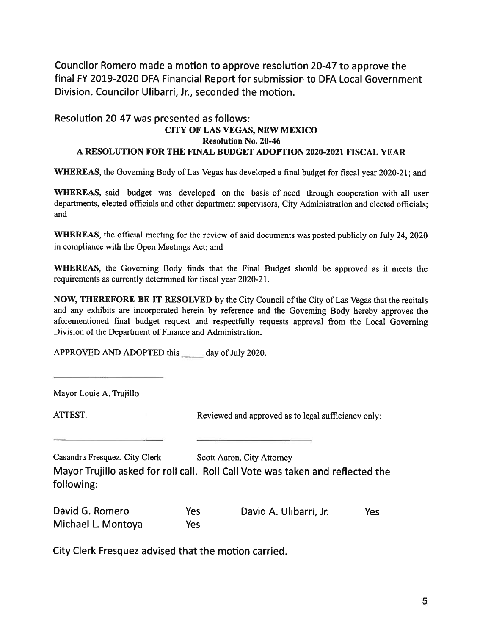Councilor Romero made <sup>a</sup> motion to approve resolution 20-47 to approve the final FY 2019-2020 DFA Financial Report for submission to DFA Local Government Division. Councilor Ulibarri, Jr., seconded the motion.

# Resolution 20-47 was presented as follows: CITY OF LAS VEGAS, NEW MEXICO Resolution No. 20-46 A RESOLUTION FOR THE FINAL BUDGET ADOPTION 2020-2021 FISCAL YEAR Councilor Romero made a motion to approve r<br>
final FY 2019-2020 DFA Financial Report for sul<br>
Division. Councilor Ulibarri, Jr., seconded the n<br>
Resolution 20-47 was presented as follows:<br>
CITY OF LAS VEGAS, N<br>
Resolution

WHEREAS, the Governing Body of Las Vegas has developed <sup>a</sup> final budget for fiscal year 2020-21; and

WHEREAS, said budget was developed on the basis of need through cooperation with all user departments, elected officials and other department supervisors, City Administration and elected officials; and

WHEREAS, the official meeting for the review of said documents was posted publicly on July 24, 2020 in compliance with the Open Meetings Act; and

WHEREAS, the Governing Body finds that the Final Budget should be approved as it meets the requirements as currently determined for fiscal year 2020-21.

NOW, THEREFORE BE IT RESOLVED by the City Council of the City of Las Vegas that the recitals and any exhibits are incorporated herein by reference and the Governing Body hereby approves the aforementioned final budget reques<sup>t</sup> and respectfully requests approva<sup>l</sup> from the Local Governing Division of the Department of Finance and Administration.

Mayor Louie A. Trujillo

ATTEST: Reviewed and approved as to legal sufficiency only:

| Casandra Fresquez, City Clerk | Scott Aaron, City Attorney                                                     |
|-------------------------------|--------------------------------------------------------------------------------|
|                               | Mayor Trujillo asked for roll call. Roll Call Vote was taken and reflected the |
| following:                    |                                                                                |

| David G. Romero    | Yes | David A. Ulibarri, Jr. | Yes |
|--------------------|-----|------------------------|-----|
| Michael L. Montoya | Yes |                        |     |

City Clerk Fresquez advised that the motion carried.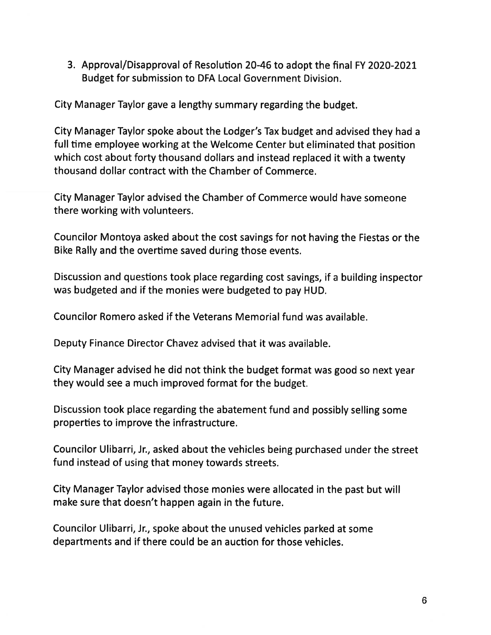3. Approval/Disapproval of Resolution 20-46 to adopt the final FY 2020-2021 Budget for submission to DFA Local Government Division.

City Manager Taylor gave <sup>a</sup> lengthy summary regarding the budget.

City Manager Taylor spoke about the Lodger's Tax budget and advised they had <sup>a</sup> full time employee working at the Welcome Center but eliminated that position which cost about forty thousand dollars and instead replaced it with <sup>a</sup> twenty thousand dollar contract with the Chamber of Commerce.

City Manager Taylor advised the Chamber of Commerce would have someone there working with volunteers.

Councilor Montoya asked about the cost savings for not having the Fiestas or the Bike Rally and the overtime saved during those events.

Discussion and questions took <sup>p</sup>lace regarding cost savings, if <sup>a</sup> building inspector was budgeted and if the monies were budgeted to pay HUD.

Councilor Romero asked if the Veterans Memorial fund was available.

Deputy Finance Director Chavez advised that it was available.

City Manager advised he did not think the budget format was good so next year they would see <sup>a</sup> much improved format for the budget.

Discussion took <sup>p</sup>lace regarding the abatement fund and possibly selling some properties to improve the infrastructure.

Councilor Ulibarri, Jr., asked about the vehicles being purchased under the street fund instead of using that money towards streets.

City Manager Taylor advised those monies were allocated in the pas<sup>t</sup> but will make sure that doesn't happen again in the future.

Councilor Ulibarri, Jr., spoke about the unused vehicles parked at some departments and if there could be an auction for those vehicles.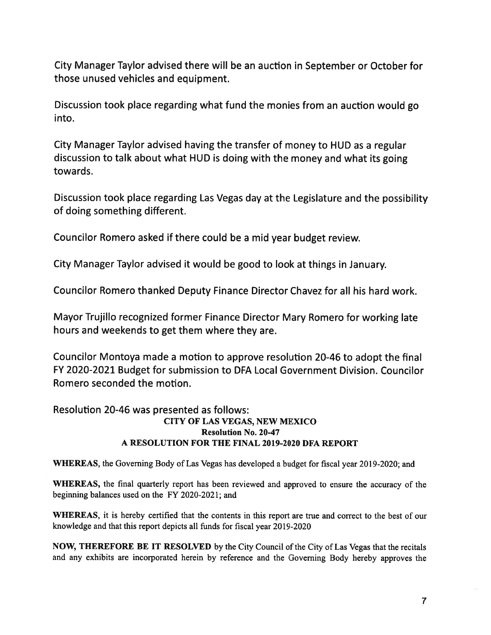City Manager Taylor advised there will be an auction in September or October for those unused vehicles and equipment.

Discussion took <sup>p</sup>lace regarding what fund the monies from an auction would go into.

City Manager Taylor advised having the transfer of money to HUD as <sup>a</sup> regular discussion to talk about what HUD is doing with the money and what its going towards.

Discussion took <sup>p</sup>lace regarding Las Vegas day at the Legislature and the possibility of doing something different.

Councilor Romero asked if there could be <sup>a</sup> mid year budget review.

City Manager Taylor advised it would be good to look at things in January.

Councilor Romero thanked Deputy Finance Director Chavez for all his hard work.

Mayor Trujillo recognized former Finance Director Mary Romero for working late hours and weekends to ge<sup>t</sup> them where they are.

Councilor Montoya made <sup>a</sup> motion to approve resolution 20-46 to adopt the final FY 2020-2021 Budget for submission to DFA Local Government Division. Councilor Romero seconded the motion.

### Resolution 20-46 was presented as follows: CITY OF LAS VEGAS, NEW MEXICO Resolution No. 20-47 A RESOLUTION FOR THE FINAL 2019-2020 DFA REPORT

WHEREAS, the Governing Body of Las Vegas has developed <sup>a</sup> budget for fiscal year 2019-2020; and

WHEREAS, the final quarterly repor<sup>t</sup> has been reviewed and approved to ensure the accuracy of the beginning balances used on the FY 2020-2021; and

WHEREAS, it is hereby certified that the contents in this repor<sup>t</sup> are true and correct to the best of our knowledge and that this repor<sup>t</sup> depicts all funds for fiscal year 20 19-2020

NOW, THEREFORE BE IT RESOLVED by the City Council of the City of Las Vegas that the recitals and any exhibits are incorporated herein by reference and the Governing Body hereby approves the